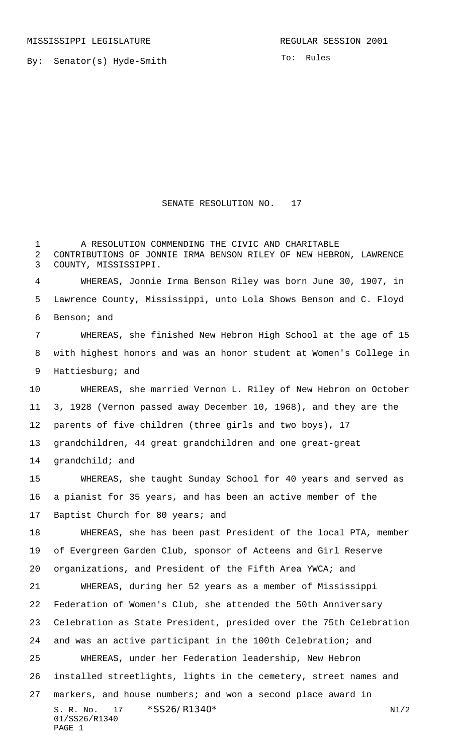MISSISSIPPI LEGISLATURE **REGULAR SESSION 2001** 

To: Rules

## SENATE RESOLUTION NO. 17

S. R. No. 17 \* SS26/R1340\* N1/2 01/SS26/R1340 PAGE 1 1 A RESOLUTION COMMENDING THE CIVIC AND CHARITABLE CONTRIBUTIONS OF JONNIE IRMA BENSON RILEY OF NEW HEBRON, LAWRENCE COUNTY, MISSISSIPPI. WHEREAS, Jonnie Irma Benson Riley was born June 30, 1907, in Lawrence County, Mississippi, unto Lola Shows Benson and C. Floyd Benson; and WHEREAS, she finished New Hebron High School at the age of 15 with highest honors and was an honor student at Women's College in Hattiesburg; and WHEREAS, she married Vernon L. Riley of New Hebron on October 3, 1928 (Vernon passed away December 10, 1968), and they are the parents of five children (three girls and two boys), 17 grandchildren, 44 great grandchildren and one great-great grandchild; and WHEREAS, she taught Sunday School for 40 years and served as a pianist for 35 years, and has been an active member of the 17 Baptist Church for 80 years; and WHEREAS, she has been past President of the local PTA, member of Evergreen Garden Club, sponsor of Acteens and Girl Reserve organizations, and President of the Fifth Area YWCA; and WHEREAS, during her 52 years as a member of Mississippi Federation of Women's Club, she attended the 50th Anniversary Celebration as State President, presided over the 75th Celebration and was an active participant in the 100th Celebration; and WHEREAS, under her Federation leadership, New Hebron installed streetlights, lights in the cemetery, street names and markers, and house numbers; and won a second place award in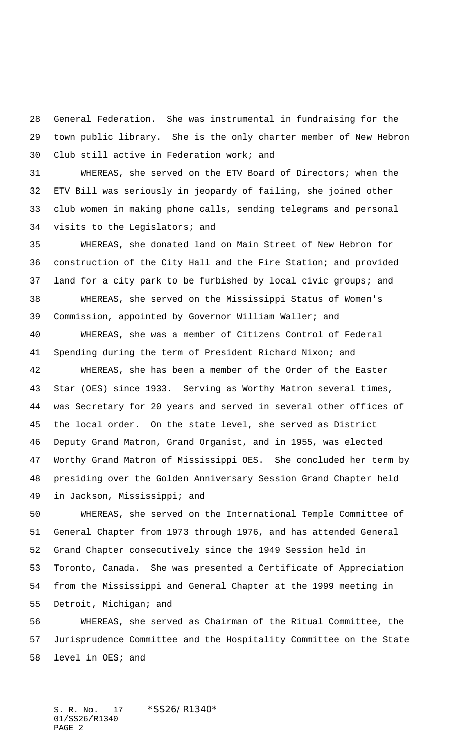General Federation. She was instrumental in fundraising for the town public library. She is the only charter member of New Hebron Club still active in Federation work; and

 WHEREAS, she served on the ETV Board of Directors; when the ETV Bill was seriously in jeopardy of failing, she joined other club women in making phone calls, sending telegrams and personal visits to the Legislators; and

 WHEREAS, she donated land on Main Street of New Hebron for construction of the City Hall and the Fire Station; and provided land for a city park to be furbished by local civic groups; and WHEREAS, she served on the Mississippi Status of Women's Commission, appointed by Governor William Waller; and

 WHEREAS, she was a member of Citizens Control of Federal Spending during the term of President Richard Nixon; and

 WHEREAS, she has been a member of the Order of the Easter Star (OES) since 1933. Serving as Worthy Matron several times, was Secretary for 20 years and served in several other offices of the local order. On the state level, she served as District Deputy Grand Matron, Grand Organist, and in 1955, was elected Worthy Grand Matron of Mississippi OES. She concluded her term by presiding over the Golden Anniversary Session Grand Chapter held in Jackson, Mississippi; and

 WHEREAS, she served on the International Temple Committee of General Chapter from 1973 through 1976, and has attended General Grand Chapter consecutively since the 1949 Session held in Toronto, Canada. She was presented a Certificate of Appreciation from the Mississippi and General Chapter at the 1999 meeting in Detroit, Michigan; and

 WHEREAS, she served as Chairman of the Ritual Committee, the Jurisprudence Committee and the Hospitality Committee on the State level in OES; and